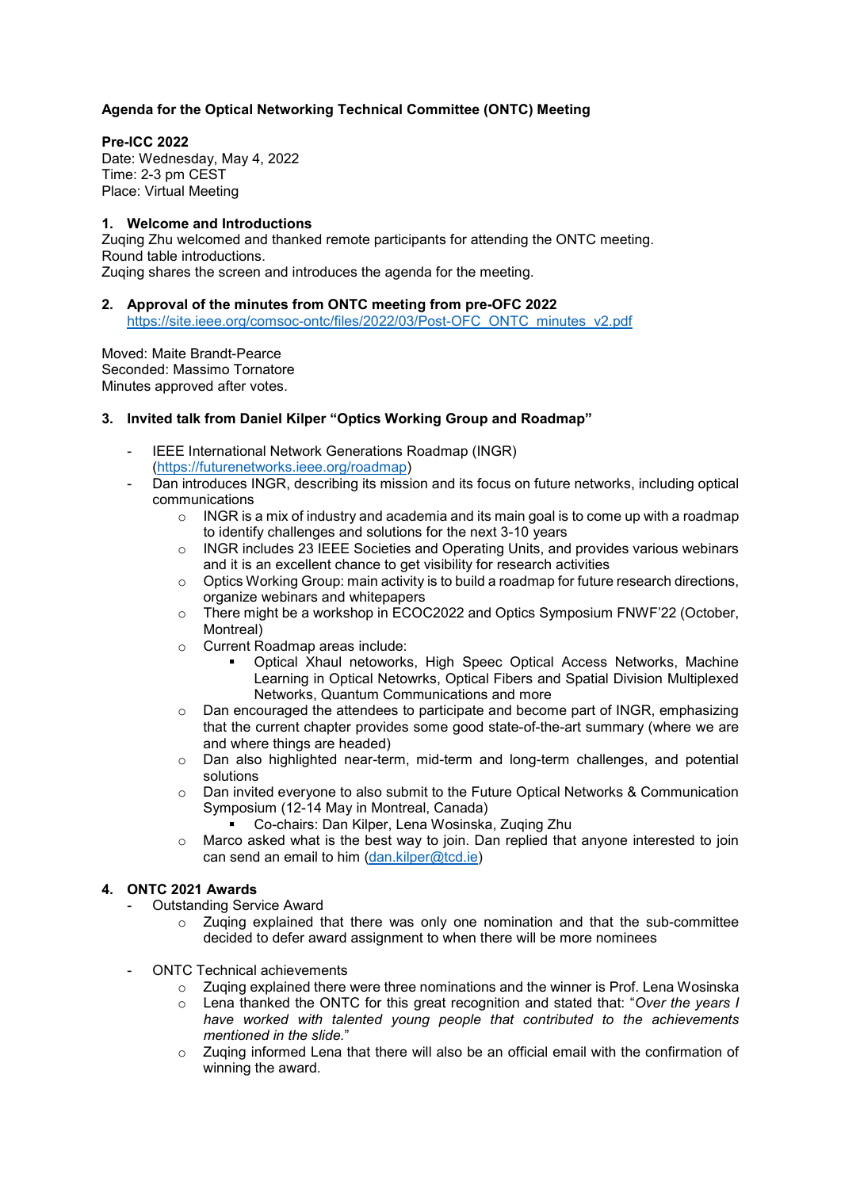# **Agenda for the Optical Networking Technical Committee (ONTC) Meeting**

#### **Pre-ICC 2022**

Date: Wednesday, May 4, 2022 Time: 2-3 pm CEST Place: Virtual Meeting

# **1. Welcome and Introductions**

Zuqing Zhu welcomed and thanked remote participants for attending the ONTC meeting. Round table introductions. Zuqing shares the screen and introduces the agenda for the meeting.

#### **2. Approval of the minutes from ONTC meeting from pre-OFC 2022**

[https://site.ieee.org/comsoc-ontc/files/2022/03/Post-OFC\\_ONTC\\_minutes\\_v2.pdf](https://site.ieee.org/comsoc-ontc/files/2022/03/Post-OFC_ONTC_minutes_v2.pdf)

Moved: Maite Brandt-Pearce Seconded: Massimo Tornatore Minutes approved after votes.

### **3. Invited talk from Daniel Kilper "Optics Working Group and Roadmap"**

- IEEE International Network Generations Roadmap (INGR) [\(https://futurenetworks.ieee.org/roadmap\)](https://futurenetworks.ieee.org/roadmap)
- Dan introduces INGR, describing its mission and its focus on future networks, including optical communications
	- $\circ$  INGR is a mix of industry and academia and its main goal is to come up with a roadmap to identify challenges and solutions for the next 3-10 years
	- o INGR includes 23 IEEE Societies and Operating Units, and provides various webinars and it is an excellent chance to get visibility for research activities
	- $\circ$  Optics Working Group: main activity is to build a roadmap for future research directions, organize webinars and whitepapers
	- o There might be a workshop in ECOC2022 and Optics Symposium FNWF'22 (October, Montreal)
	- o Current Roadmap areas include:
		- Optical Xhaul netoworks, High Speec Optical Access Networks, Machine Learning in Optical Netowrks, Optical Fibers and Spatial Division Multiplexed Networks, Quantum Communications and more
	- $\circ$  Dan encouraged the attendees to participate and become part of INGR, emphasizing that the current chapter provides some good state-of-the-art summary (where we are and where things are headed)
	- $\circ$  Dan also highlighted near-term, mid-term and long-term challenges, and potential solutions
	- $\circ$  Dan invited everyone to also submit to the Future Optical Networks & Communication Symposium (12-14 May in Montreal, Canada)
		- Co-chairs: Dan Kilper, Lena Wosinska, Zuqing Zhu
	- $\circ$  Marco asked what is the best way to join. Dan replied that anyone interested to join can send an email to him [\(dan.kilper@tcd.ie\)](mailto:dan.kilper@tcd.ie)

# **4. ONTC 2021 Awards**

- Outstanding Service Award
	- $\circ$  Zuging explained that there was only one nomination and that the sub-committee decided to defer award assignment to when there will be more nominees
- ONTC Technical achievements
	- $\circ$  Zuging explained there were three nominations and the winner is Prof. Lena Wosinska
	- o Lena thanked the ONTC for this great recognition and stated that: "*Over the years I have worked with talented young people that contributed to the achievements mentioned in the slide.*"
	- $\circ$  Zuging informed Lena that there will also be an official email with the confirmation of winning the award.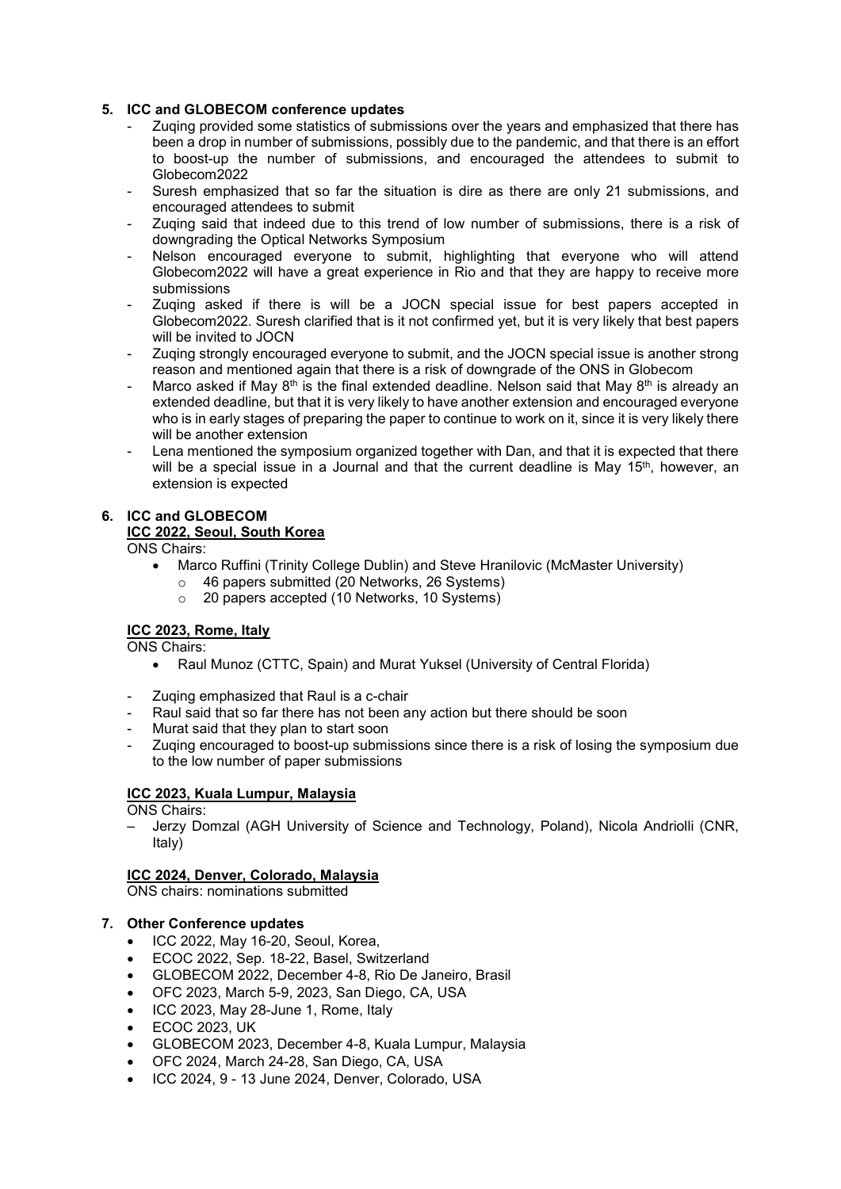# **5. ICC and GLOBECOM conference updates**

- Zuqing provided some statistics of submissions over the years and emphasized that there has been a drop in number of submissions, possibly due to the pandemic, and that there is an effort to boost-up the number of submissions, and encouraged the attendees to submit to Globecom2022
- Suresh emphasized that so far the situation is dire as there are only 21 submissions, and encouraged attendees to submit
- Zuqing said that indeed due to this trend of low number of submissions, there is a risk of downgrading the Optical Networks Symposium
- Nelson encouraged everyone to submit, highlighting that everyone who will attend Globecom2022 will have a great experience in Rio and that they are happy to receive more submissions
- Zuqing asked if there is will be a JOCN special issue for best papers accepted in Globecom2022. Suresh clarified that is it not confirmed yet, but it is very likely that best papers will be invited to JOCN
- Zuqing strongly encouraged everyone to submit, and the JOCN special issue is another strong reason and mentioned again that there is a risk of downgrade of the ONS in Globecom
- Marco asked if May  $8<sup>th</sup>$  is the final extended deadline. Nelson said that May  $8<sup>th</sup>$  is already an extended deadline, but that it is very likely to have another extension and encouraged everyone who is in early stages of preparing the paper to continue to work on it, since it is very likely there will be another extension
- Lena mentioned the symposium organized together with Dan, and that it is expected that there will be a special issue in a Journal and that the current deadline is May 15<sup>th</sup>, however, an extension is expected

### **6. ICC and GLOBECOM ICC 2022, Seoul, South Korea**

ONS Chairs:

- Marco Ruffini (Trinity College Dublin) and Steve Hranilovic (McMaster University)
	- 46 papers submitted (20 Networks, 26 Systems)
	- 20 papers accepted (10 Networks, 10 Systems)

# **ICC 2023, Rome, Italy**

ONS Chairs:

- Raul Munoz (CTTC, Spain) and Murat Yuksel (University of Central Florida)
- Zuqing emphasized that Raul is a c-chair
- Raul said that so far there has not been any action but there should be soon
- Murat said that they plan to start soon
- Zuqing encouraged to boost-up submissions since there is a risk of losing the symposium due to the low number of paper submissions

# **ICC 2023, Kuala Lumpur, Malaysia**

ONS Chairs:

– Jerzy Domzal (AGH University of Science and Technology, Poland), Nicola Andriolli (CNR, Italy)

# **ICC 2024, Denver, Colorado, Malaysia**

ONS chairs: nominations submitted

# **7. Other Conference updates**

- ICC 2022, May 16-20, Seoul, Korea,
- ECOC 2022, Sep. 18-22, Basel, Switzerland
- GLOBECOM 2022, December 4-8, Rio De Janeiro, Brasil
- OFC 2023, March 5-9, 2023, San Diego, CA, USA
- ICC 2023, May 28-June 1, Rome, Italy
- ECOC 2023, UK
- GLOBECOM 2023, December 4-8, Kuala Lumpur, Malaysia
- OFC 2024, March 24-28, San Diego, CA, USA
- ICC 2024, 9 13 June 2024, Denver, Colorado, USA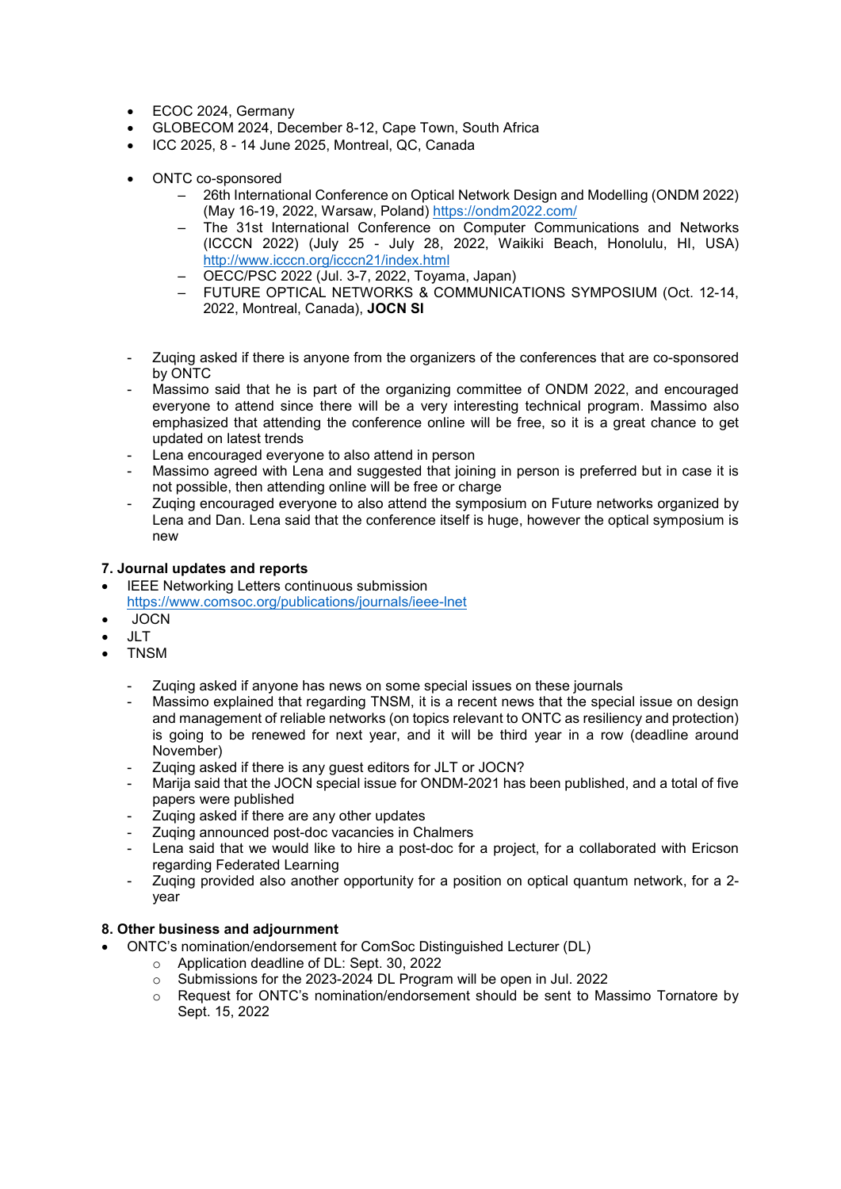- ECOC 2024, Germany
- GLOBECOM 2024, December 8-12, Cape Town, South Africa
- ICC 2025, 8 14 June 2025, Montreal, QC, Canada
- ONTC co-sponsored
	- 26th International Conference on Optical Network Design and Modelling (ONDM 2022) (May 16-19, 2022, Warsaw, Poland) <https://ondm2022.com/>
	- The 31st International Conference on Computer Communications and Networks (ICCCN 2022) (July 25 - July 28, 2022, Waikiki Beach, Honolulu, HI, USA) <http://www.icccn.org/icccn21/index.html>
	- OECC/PSC 2022 (Jul. 3-7, 2022, Toyama, Japan)
	- FUTURE OPTICAL NETWORKS & COMMUNICATIONS SYMPOSIUM (Oct. 12-14, 2022, Montreal, Canada), **JOCN SI**
- Zuqing asked if there is anyone from the organizers of the conferences that are co-sponsored by ONTC
- Massimo said that he is part of the organizing committee of ONDM 2022, and encouraged everyone to attend since there will be a very interesting technical program. Massimo also emphasized that attending the conference online will be free, so it is a great chance to get updated on latest trends
- Lena encouraged everyone to also attend in person
- Massimo agreed with Lena and suggested that joining in person is preferred but in case it is not possible, then attending online will be free or charge
- Zuqing encouraged everyone to also attend the symposium on Future networks organized by Lena and Dan. Lena said that the conference itself is huge, however the optical symposium is new

# **7. Journal updates and reports**

- **IEEE Networking Letters continuous submission** <https://www.comsoc.org/publications/journals/ieee-lnet>
- JOCN
- JLT
- TNSM
	- Zuqing asked if anyone has news on some special issues on these journals
	- Massimo explained that regarding TNSM, it is a recent news that the special issue on design and management of reliable networks (on topics relevant to ONTC as resiliency and protection) is going to be renewed for next year, and it will be third year in a row (deadline around November)
	- Zuging asked if there is any quest editors for JLT or JOCN?
	- Marija said that the JOCN special issue for ONDM-2021 has been published, and a total of five papers were published
	- Zuging asked if there are any other updates
	- Zuging announced post-doc vacancies in Chalmers
	- Lena said that we would like to hire a post-doc for a project, for a collaborated with Ericson regarding Federated Learning
	- Zuqing provided also another opportunity for a position on optical quantum network, for a 2 year

# **8. Other business and adjournment**

- ONTC's nomination/endorsement for ComSoc Distinguished Lecturer (DL)
	- o Application deadline of DL: Sept. 30, 2022
	- o Submissions for the 2023-2024 DL Program will be open in Jul. 2022
	- o Request for ONTC's nomination/endorsement should be sent to Massimo Tornatore by Sept. 15, 2022